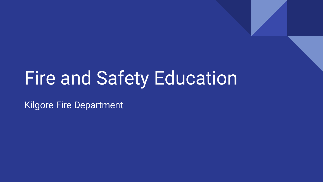# Fire and Safety Education

Kilgore Fire Department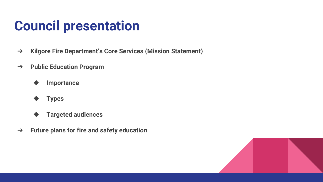### **Council presentation**

- ➔ **Kilgore Fire Department's Core Services (Mission Statement)**
- ➔ **Public Education Program**
	- ◆ **Importance**
	- ◆ **Types**
	- ◆ **Targeted audiences**
- ➔ **Future plans for fire and safety education**

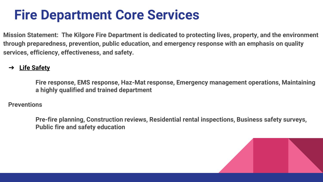#### **Fire Department Core Services**

**Mission Statement: The Kilgore Fire Department is dedicated to protecting lives, property, and the environment through preparedness, prevention, public education, and emergency response with an emphasis on quality services, efficiency, effectiveness, and safety.**

#### ➔ **Life Safety**

**Fire response, EMS response, Haz-Mat response, Emergency management operations, Maintaining a highly qualified and trained department**

#### **Preventions**

**Pre-fire planning, Construction reviews, Residential rental inspections, Business safety surveys, Public fire and safety education**

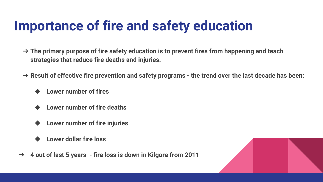# **Importance of fire and safety education**

- ➔ **The primary purpose of fire safety education is to prevent fires from happening and teach strategies that reduce fire deaths and injuries.**
- ➔ **Result of effective fire prevention and safety programs - the trend over the last decade has been:**
	- **Lower number of fires**
	- **Lower number of fire deaths**
	- **Lower number of fire injuries**
	- **Lower dollar fire loss**
- ➔ **4 out of last 5 years - fire loss is down in Kilgore from 2011**

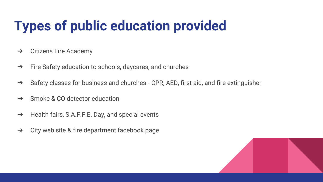# **Types of public education provided**

- $\rightarrow$  Citizens Fire Academy
- ➔ Fire Safety education to schools, daycares, and churches
- → Safety classes for business and churches CPR, AED, first aid, and fire extinguisher
- **→** Smoke & CO detector education
- ➔ Health fairs, S.A.F.F.E. Day, and special events
- $\rightarrow$  City web site & fire department facebook page

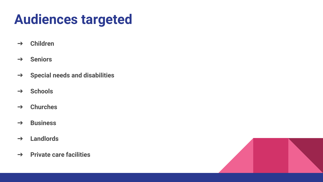# **Audiences targeted**

- ➔ **Children**
- ➔ **Seniors**
- ➔ **Special needs and disabilities**
- ➔ **Schools**
- ➔ **Churches**
- ➔ **Business**
- ➔ **Landlords**
- ➔ **Private care facilities**

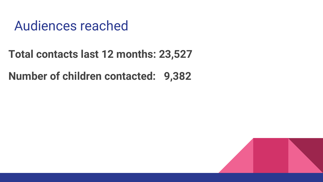#### Audiences reached

#### **Total contacts last 12 months: 23,527**

#### **Number of children contacted: 9,382**

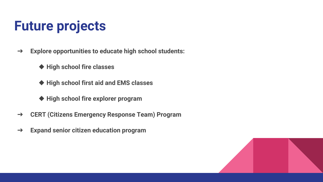# **Future projects**

- ➔ **Explore opportunities to educate high school students:**
	- ◆ **High school fire classes**
	- ◆ **High school first aid and EMS classes**
	- ◆ **High school fire explorer program**
- ➔ **CERT (Citizens Emergency Response Team) Program**
- ➔ **Expand senior citizen education program**